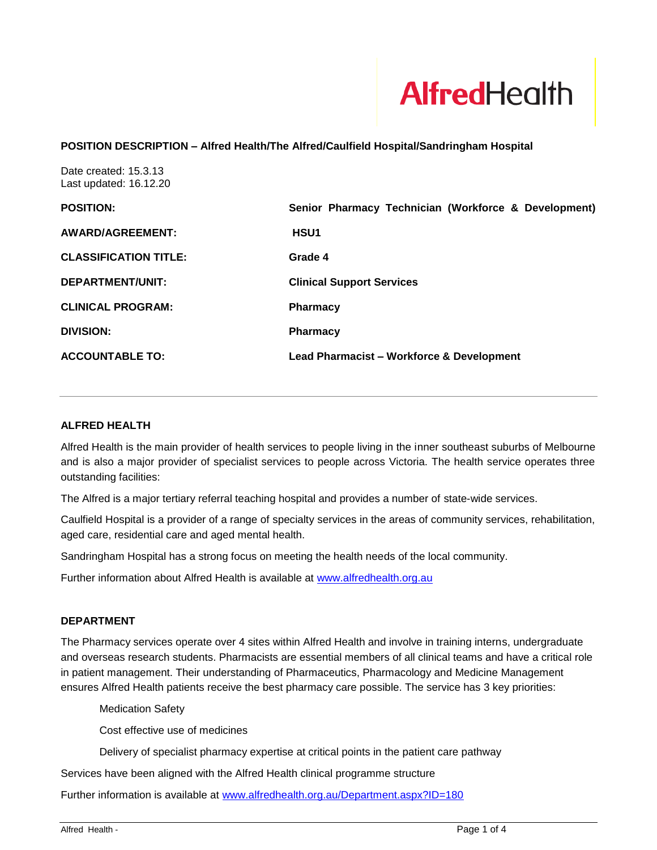

## **POSITION DESCRIPTION – Alfred Health/The Alfred/Caulfield Hospital/Sandringham Hospital**

Date created: 15.3.13 Last updated: 16.12.20

| <b>POSITION:</b>             | Senior Pharmacy Technician (Workforce & Development) |
|------------------------------|------------------------------------------------------|
| AWARD/AGREEMENT:             | <b>HSU1</b>                                          |
| <b>CLASSIFICATION TITLE:</b> | Grade 4                                              |
| DEPARTMENT/UNIT:             | <b>Clinical Support Services</b>                     |
| <b>CLINICAL PROGRAM:</b>     | <b>Pharmacy</b>                                      |
| <b>DIVISION:</b>             | <b>Pharmacy</b>                                      |
| <b>ACCOUNTABLE TO:</b>       | <b>Lead Pharmacist - Workforce &amp; Development</b> |

## **ALFRED HEALTH**

Alfred Health is the main provider of health services to people living in the inner southeast suburbs of Melbourne and is also a major provider of specialist services to people across Victoria. The health service operates three outstanding facilities:

The Alfred is a major tertiary referral teaching hospital and provides a number of state-wide services.

Caulfield Hospital is a provider of a range of specialty services in the areas of community services, rehabilitation, aged care, residential care and aged mental health.

Sandringham Hospital has a strong focus on meeting the health needs of the local community.

Further information about Alfred Health is available at [www.alfredhealth.org.au](http://www.alfred.org.au/)

### **DEPARTMENT**

The Pharmacy services operate over 4 sites within Alfred Health and involve in training interns, undergraduate and overseas research students. Pharmacists are essential members of all clinical teams and have a critical role in patient management. Their understanding of Pharmaceutics, Pharmacology and Medicine Management ensures Alfred Health patients receive the best pharmacy care possible. The service has 3 key priorities:

Medication Safety

Cost effective use of medicines

Delivery of specialist pharmacy expertise at critical points in the patient care pathway

Services have been aligned with the Alfred Health clinical programme structure

Further information is available at [www.alfredhealth.org.au/Department.aspx?ID=180](http://www.alfredhealth.org.au/Department.aspx?ID=180)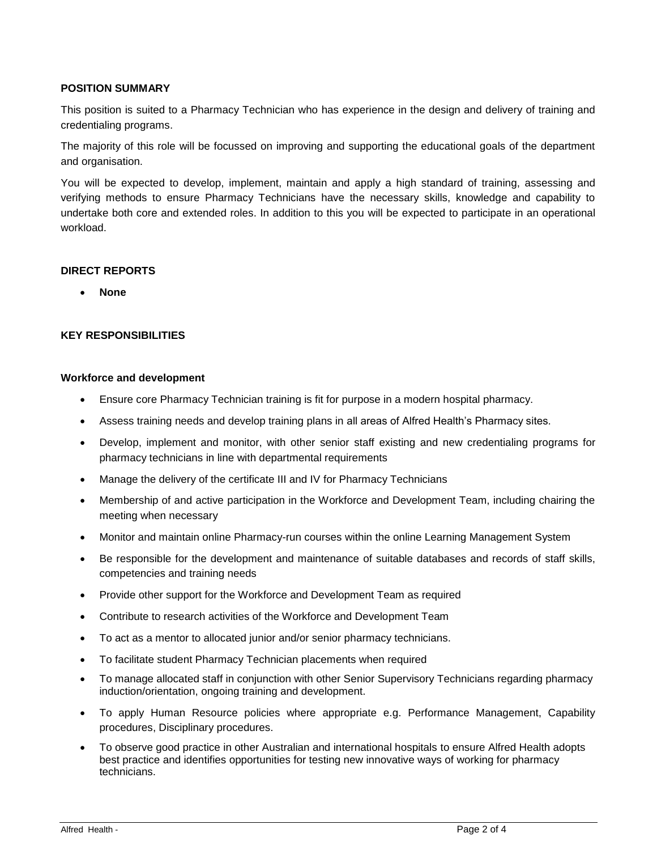# **POSITION SUMMARY**

This position is suited to a Pharmacy Technician who has experience in the design and delivery of training and credentialing programs.

The majority of this role will be focussed on improving and supporting the educational goals of the department and organisation.

You will be expected to develop, implement, maintain and apply a high standard of training, assessing and verifying methods to ensure Pharmacy Technicians have the necessary skills, knowledge and capability to undertake both core and extended roles. In addition to this you will be expected to participate in an operational workload.

## **DIRECT REPORTS**

• **None**

## **KEY RESPONSIBILITIES**

### **Workforce and development**

- Ensure core Pharmacy Technician training is fit for purpose in a modern hospital pharmacy.
- Assess training needs and develop training plans in all areas of Alfred Health's Pharmacy sites.
- Develop, implement and monitor, with other senior staff existing and new credentialing programs for pharmacy technicians in line with departmental requirements
- Manage the delivery of the certificate III and IV for Pharmacy Technicians
- Membership of and active participation in the Workforce and Development Team, including chairing the meeting when necessary
- Monitor and maintain online Pharmacy-run courses within the online Learning Management System
- Be responsible for the development and maintenance of suitable databases and records of staff skills, competencies and training needs
- Provide other support for the Workforce and Development Team as required
- Contribute to research activities of the Workforce and Development Team
- To act as a mentor to allocated junior and/or senior pharmacy technicians.
- To facilitate student Pharmacy Technician placements when required
- To manage allocated staff in conjunction with other Senior Supervisory Technicians regarding pharmacy induction/orientation, ongoing training and development.
- To apply Human Resource policies where appropriate e.g. Performance Management, Capability procedures, Disciplinary procedures.
- To observe good practice in other Australian and international hospitals to ensure Alfred Health adopts best practice and identifies opportunities for testing new innovative ways of working for pharmacy technicians.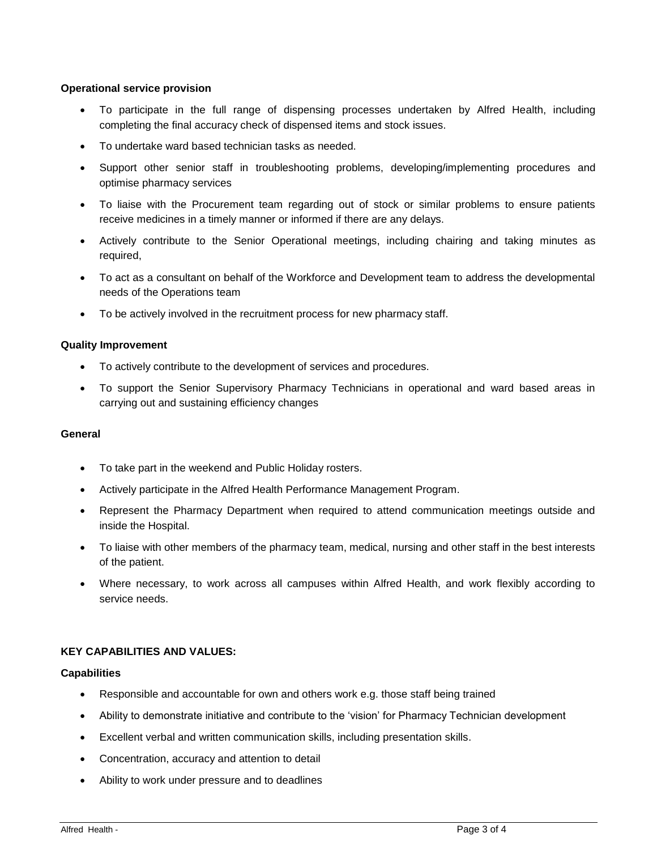## **Operational service provision**

- To participate in the full range of dispensing processes undertaken by Alfred Health, including completing the final accuracy check of dispensed items and stock issues.
- To undertake ward based technician tasks as needed.
- Support other senior staff in troubleshooting problems, developing/implementing procedures and optimise pharmacy services
- To liaise with the Procurement team regarding out of stock or similar problems to ensure patients receive medicines in a timely manner or informed if there are any delays.
- Actively contribute to the Senior Operational meetings, including chairing and taking minutes as required,
- To act as a consultant on behalf of the Workforce and Development team to address the developmental needs of the Operations team
- To be actively involved in the recruitment process for new pharmacy staff.

## **Quality Improvement**

- To actively contribute to the development of services and procedures.
- To support the Senior Supervisory Pharmacy Technicians in operational and ward based areas in carrying out and sustaining efficiency changes

### **General**

- To take part in the weekend and Public Holiday rosters.
- Actively participate in the Alfred Health Performance Management Program.
- Represent the Pharmacy Department when required to attend communication meetings outside and inside the Hospital.
- To liaise with other members of the pharmacy team, medical, nursing and other staff in the best interests of the patient.
- Where necessary, to work across all campuses within Alfred Health, and work flexibly according to service needs.

## **KEY CAPABILITIES AND VALUES:**

### **Capabilities**

- Responsible and accountable for own and others work e.g. those staff being trained
- Ability to demonstrate initiative and contribute to the 'vision' for Pharmacy Technician development
- Excellent verbal and written communication skills, including presentation skills.
- Concentration, accuracy and attention to detail
- Ability to work under pressure and to deadlines